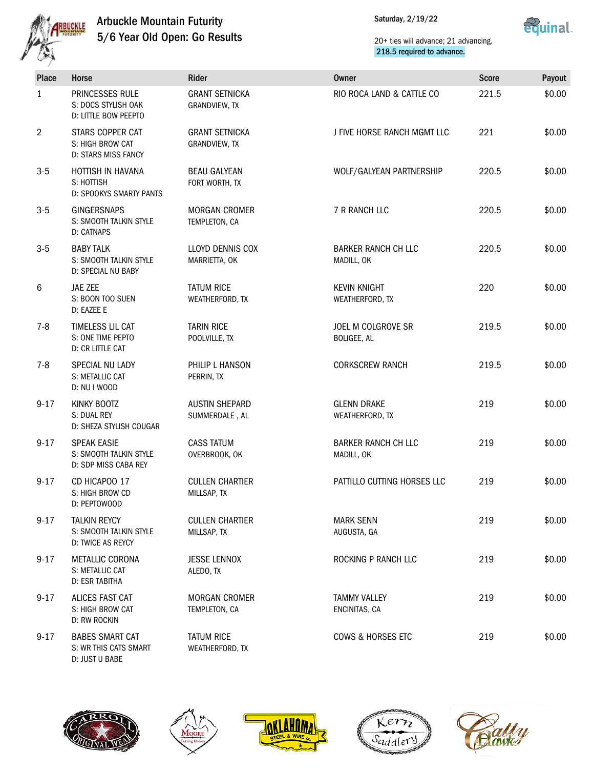

Saturday, 2/19/22



| Place    | Horse                                                                | Rider                                    | <b>Owner</b>                             | <b>Score</b> | Payout |
|----------|----------------------------------------------------------------------|------------------------------------------|------------------------------------------|--------------|--------|
| 1        | PRINCESSES RULE<br>S: DOCS STYLISH OAK<br>D: LITTLE BOW PEEPTO       | <b>GRANT SETNICKA</b><br>GRANDVIEW, TX   | RIO ROCA LAND & CATTLE CO                | 221.5        | \$0.00 |
| 2        | STARS COPPER CAT<br>S: HIGH BROW CAT<br><b>D: STARS MISS FANCY</b>   | <b>GRANT SETNICKA</b><br>GRANDVIEW, TX   | J FIVE HORSE RANCH MGMT LLC              | 221          | \$0.00 |
| $3-5$    | HOTTISH IN HAVANA<br>S: HOTTISH<br>D: SPOOKYS SMARTY PANTS           | <b>BEAU GALYEAN</b><br>FORT WORTH, TX    | WOLF/GALYEAN PARTNERSHIP                 | 220.5        | \$0.00 |
| $3-5$    | <b>GINGERSNAPS</b><br>S: SMOOTH TALKIN STYLE<br>D: CATNAPS           | <b>MORGAN CROMER</b><br>TEMPLETON, CA    | 7 R RANCH LLC                            | 220.5        | \$0.00 |
| $3-5$    | <b>BABY TALK</b><br>S: SMOOTH TALKIN STYLE<br>D: SPECIAL NU BABY     | <b>LLOYD DENNIS COX</b><br>MARRIETTA, OK | <b>BARKER RANCH CH LLC</b><br>MADILL, OK | 220.5        | \$0.00 |
| 6        | JAE ZEE<br>S: BOON TOO SUEN<br>D: EAZEE E                            | <b>TATUM RICE</b><br>WEATHERFORD, TX     | <b>KEVIN KNIGHT</b><br>WEATHERFORD, TX   | 220          | \$0.00 |
| $7 - 8$  | TIMELESS LIL CAT<br>S: ONE TIME PEPTO<br>D: CR LITTLE CAT            | <b>TARIN RICE</b><br>POOLVILLE, TX       | JOEL M COLGROVE SR<br><b>BOLIGEE, AL</b> | 219.5        | \$0.00 |
| $7-8$    | SPECIAL NU LADY<br>S: METALLIC CAT<br>D: NU I WOOD                   | PHILIP L HANSON<br>PERRIN, TX            | <b>CORKSCREW RANCH</b>                   | 219.5        | \$0.00 |
| $9 - 17$ | KINKY BOOTZ<br>S: DUAL REY<br>D: SHEZA STYLISH COUGAR                | <b>AUSTIN SHEPARD</b><br>SUMMERDALE, AL  | <b>GLENN DRAKE</b><br>WEATHERFORD, TX    | 219          | \$0.00 |
| $9 - 17$ | <b>SPEAK EASIE</b><br>S: SMOOTH TALKIN STYLE<br>D: SDP MISS CABA REY | <b>CASS TATUM</b><br>OVERBROOK, OK       | <b>BARKER RANCH CH LLC</b><br>MADILL, OK | 219          | \$0.00 |
| $9 - 17$ | CD HICAPOO 17<br>S: HIGH BROW CD<br>D: PEPTOWOOD                     | <b>CULLEN CHARTIER</b><br>MILLSAP, TX    | PATTILLO CUTTING HORSES LLC              | 219          | \$0.00 |
| $9 - 17$ | <b>TALKIN REYCY</b><br>S: SMOOTH TALKIN STYLE<br>D: TWICE AS REYCY   | <b>CULLEN CHARTIER</b><br>MILLSAP, TX    | <b>MARK SENN</b><br>AUGUSTA, GA          | 219          | \$0.00 |
| $9 - 17$ | <b>METALLIC CORONA</b><br>S: METALLIC CAT<br>D: ESR TABITHA          | <b>JESSE LENNOX</b><br>ALEDO, TX         | ROCKING P RANCH LLC                      | 219          | \$0.00 |
| $9 - 17$ | ALICES FAST CAT<br>S: HIGH BROW CAT<br>D: RW ROCKIN                  | <b>MORGAN CROMER</b><br>TEMPLETON, CA    | <b>TAMMY VALLEY</b><br>ENCINITAS, CA     | 219          | \$0.00 |
| $9 - 17$ | <b>BABES SMART CAT</b><br>S: WR THIS CATS SMART<br>D: JUST U BABE    | <b>TATUM RICE</b><br>WEATHERFORD, TX     | COWS & HORSES ETC                        | 219          | \$0.00 |









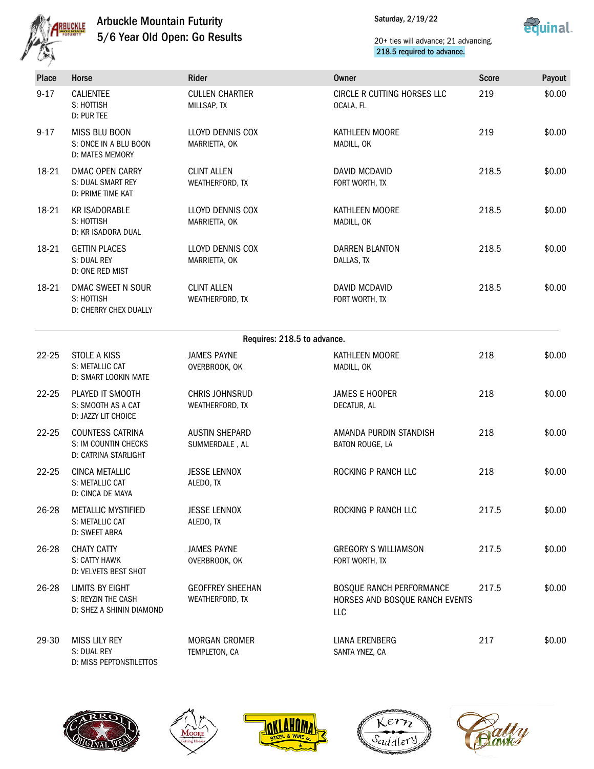

Saturday, 2/19/22



| Place     | Horse                                                                    | Rider                                      | Owner                                                                    | <b>Score</b> | Payout |
|-----------|--------------------------------------------------------------------------|--------------------------------------------|--------------------------------------------------------------------------|--------------|--------|
| $9 - 17$  | <b>CALIENTEE</b><br>S: HOTTISH<br>D: PUR TEE                             | <b>CULLEN CHARTIER</b><br>MILLSAP, TX      | CIRCLE R CUTTING HORSES LLC<br>OCALA, FL                                 | 219          | \$0.00 |
| $9 - 17$  | <b>MISS BLU BOON</b><br>S: ONCE IN A BLU BOON<br>D: MATES MEMORY         | LLOYD DENNIS COX<br>MARRIETTA, OK          | KATHLEEN MOORE<br>MADILL, OK                                             | 219          | \$0.00 |
| 18-21     | <b>DMAC OPEN CARRY</b><br>S: DUAL SMART REY<br>D: PRIME TIME KAT         | <b>CLINT ALLEN</b><br>WEATHERFORD, TX      | DAVID MCDAVID<br>FORT WORTH, TX                                          | 218.5        | \$0.00 |
| 18-21     | <b>KR ISADORABLE</b><br>S: HOTTISH<br>D: KR ISADORA DUAL                 | LLOYD DENNIS COX<br>MARRIETTA, OK          | KATHLEEN MOORE<br>MADILL, OK                                             | 218.5        | \$0.00 |
| 18-21     | <b>GETTIN PLACES</b><br>S: DUAL REY<br>D: ONE RED MIST                   | LLOYD DENNIS COX<br>MARRIETTA, OK          | <b>DARREN BLANTON</b><br>DALLAS, TX                                      | 218.5        | \$0.00 |
| 18-21     | DMAC SWEET N SOUR<br>S: HOTTISH<br>D: CHERRY CHEX DUALLY                 | <b>CLINT ALLEN</b><br>WEATHERFORD, TX      | DAVID MCDAVID<br>FORT WORTH, TX                                          | 218.5        | \$0.00 |
|           |                                                                          | Requires: 218.5 to advance.                |                                                                          |              |        |
| $22 - 25$ | STOLE A KISS<br>S: METALLIC CAT<br>D: SMART LOOKIN MATE                  | <b>JAMES PAYNE</b><br>OVERBROOK, OK        | KATHLEEN MOORE<br>MADILL, OK                                             | 218          | \$0.00 |
| $22 - 25$ | PLAYED IT SMOOTH<br>S: SMOOTH AS A CAT<br>D: JAZZY LIT CHOICE            | <b>CHRIS JOHNSRUD</b><br>WEATHERFORD, TX   | <b>JAMES E HOOPER</b><br>DECATUR, AL                                     | 218          | \$0.00 |
| $22 - 25$ | <b>COUNTESS CATRINA</b><br>S: IM COUNTIN CHECKS<br>D: CATRINA STARLIGHT  | <b>AUSTIN SHEPARD</b><br>SUMMERDALE, AL    | AMANDA PURDIN STANDISH<br>BATON ROUGE, LA                                | 218          | \$0.00 |
| $22 - 25$ | CINCA METALLIC<br>S: METALLIC CAT<br>D: CINCA DE MAYA                    | <b>JESSE LENNOX</b><br>ALEDO, TX           | ROCKING P RANCH LLC                                                      | 218          | \$0.00 |
| 26-28     | METALLIC MYSTIFIED<br>S: METALLIC CAT<br>D: SWEET ABRA                   | <b>JESSE LENNOX</b><br>ALEDO. TX           | ROCKING P RANCH LLC                                                      | 217.5        | \$0.00 |
| 26-28     | <b>CHATY CATTY</b><br>S: CATTY HAWK<br>D: VELVETS BEST SHOT              | <b>JAMES PAYNE</b><br>OVERBROOK, OK        | <b>GREGORY S WILLIAMSON</b><br>FORT WORTH, TX                            | 217.5        | \$0.00 |
| 26-28     | <b>LIMITS BY EIGHT</b><br>S: REYZIN THE CASH<br>D: SHEZ A SHININ DIAMOND | <b>GEOFFREY SHEEHAN</b><br>WEATHERFORD, TX | <b>BOSQUE RANCH PERFORMANCE</b><br>HORSES AND BOSQUE RANCH EVENTS<br>LLC | 217.5        | \$0.00 |
| 29-30     | <b>MISS LILY REY</b><br>S: DUAL REY<br>D: MISS PEPTONSTILETTOS           | <b>MORGAN CROMER</b><br>TEMPLETON, CA      | LIANA ERENBERG<br>SANTA YNEZ, CA                                         | 217          | \$0.00 |









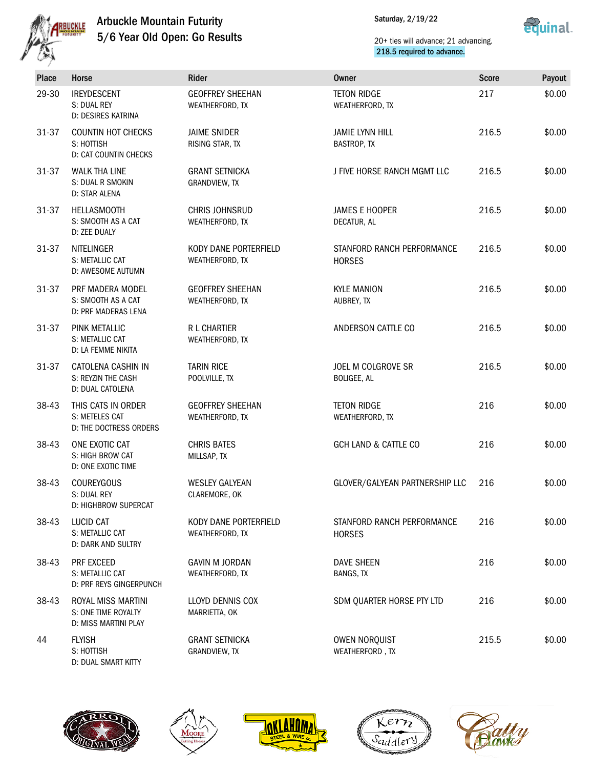

Saturday, 2/19/22



| <b>Place</b> | Horse                                                             | Rider                                      | <b>Owner</b>                                 | <b>Score</b> | Payout |
|--------------|-------------------------------------------------------------------|--------------------------------------------|----------------------------------------------|--------------|--------|
| 29-30        | <b>IREYDESCENT</b><br>S: DUAL REY<br>D: DESIRES KATRINA           | <b>GEOFFREY SHEEHAN</b><br>WEATHERFORD, TX | <b>TETON RIDGE</b><br>WEATHERFORD, TX        | 217          | \$0.00 |
| 31-37        | <b>COUNTIN HOT CHECKS</b><br>S: HOTTISH<br>D: CAT COUNTIN CHECKS  | <b>JAIME SNIDER</b><br>RISING STAR, TX     | <b>JAMIE LYNN HILL</b><br><b>BASTROP, TX</b> | 216.5        | \$0.00 |
| 31-37        | <b>WALK THA LINE</b><br>S: DUAL R SMOKIN<br>D: STAR ALENA         | <b>GRANT SETNICKA</b><br>GRANDVIEW, TX     | J FIVE HORSE RANCH MGMT LLC                  | 216.5        | \$0.00 |
| 31-37        | <b>HELLASMOOTH</b><br>S: SMOOTH AS A CAT<br>D: ZEE DUALY          | <b>CHRIS JOHNSRUD</b><br>WEATHERFORD, TX   | <b>JAMES E HOOPER</b><br>DECATUR, AL         | 216.5        | \$0.00 |
| 31-37        | <b>NITELINGER</b><br>S: METALLIC CAT<br>D: AWESOME AUTUMN         | KODY DANE PORTERFIELD<br>WEATHERFORD, TX   | STANFORD RANCH PERFORMANCE<br><b>HORSES</b>  | 216.5        | \$0.00 |
| 31-37        | PRF MADERA MODEL<br>S: SMOOTH AS A CAT<br>D: PRF MADERAS LENA     | <b>GEOFFREY SHEEHAN</b><br>WEATHERFORD, TX | <b>KYLE MANION</b><br>AUBREY, TX             | 216.5        | \$0.00 |
| 31-37        | PINK METALLIC<br>S: METALLIC CAT<br>D: LA FEMME NIKITA            | R L CHARTIER<br>WEATHERFORD, TX            | ANDERSON CATTLE CO                           | 216.5        | \$0.00 |
| 31-37        | CATOLENA CASHIN IN<br>S: REYZIN THE CASH<br>D: DUAL CATOLENA      | <b>TARIN RICE</b><br>POOLVILLE, TX         | JOEL M COLGROVE SR<br>BOLIGEE, AL            | 216.5        | \$0.00 |
| 38-43        | THIS CATS IN ORDER<br>S: METELES CAT<br>D: THE DOCTRESS ORDERS    | <b>GEOFFREY SHEEHAN</b><br>WEATHERFORD, TX | <b>TETON RIDGE</b><br>WEATHERFORD, TX        | 216          | \$0.00 |
| 38-43        | ONE EXOTIC CAT<br>S: HIGH BROW CAT<br>D: ONE EXOTIC TIME          | <b>CHRIS BATES</b><br>MILLSAP, TX          | GCH LAND & CATTLE CO                         | 216          | \$0.00 |
| 38-43        | <b>COUREYGOUS</b><br>S: DUAL REY<br><b>D: HIGHBROW SUPERCAT</b>   | <b>WESLEY GALYEAN</b><br>CLAREMORE, OK     | GLOVER/GALYEAN PARTNERSHIP LLC               | 216          | \$0.00 |
| 38-43        | <b>LUCID CAT</b><br>S: METALLIC CAT<br>D: DARK AND SULTRY         | KODY DANE PORTERFIELD<br>WEATHERFORD, TX   | STANFORD RANCH PERFORMANCE<br><b>HORSES</b>  | 216          | \$0.00 |
| 38-43        | PRF EXCEED<br>S: METALLIC CAT<br><b>D: PRF REYS GINGERPUNCH</b>   | <b>GAVIN M JORDAN</b><br>WEATHERFORD, TX   | <b>DAVE SHEEN</b><br>BANGS, TX               | 216          | \$0.00 |
| 38-43        | ROYAL MISS MARTINI<br>S: ONE TIME ROYALTY<br>D: MISS MARTINI PLAY | LLOYD DENNIS COX<br>MARRIETTA, OK          | SDM QUARTER HORSE PTY LTD                    | 216          | \$0.00 |
| 44           | <b>FLYISH</b><br>S: HOTTISH<br>D: DUAL SMART KITTY                | <b>GRANT SETNICKA</b><br>GRANDVIEW, TX     | OWEN NORQUIST<br>WEATHERFORD, TX             | 215.5        | \$0.00 |









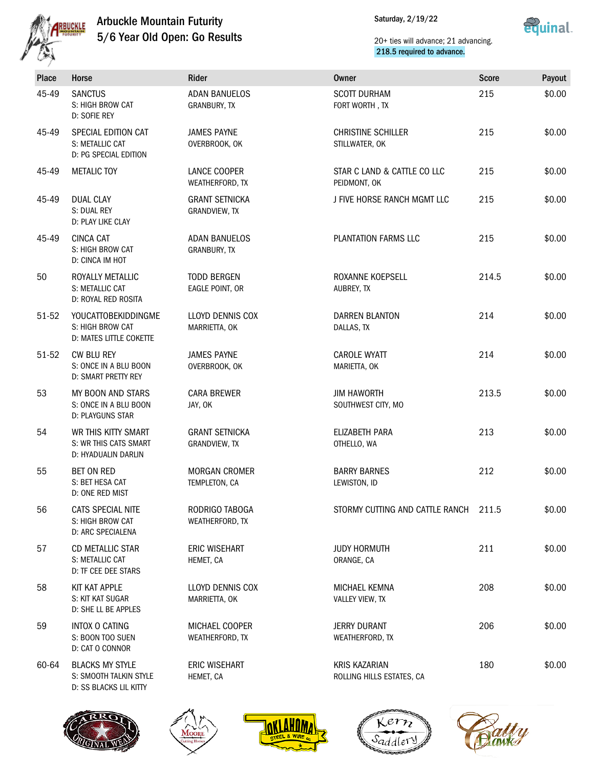



| <b>Place</b> | Horse                                                                      | Rider                                  | <b>Owner</b>                                      | <b>Score</b> | Payout |
|--------------|----------------------------------------------------------------------------|----------------------------------------|---------------------------------------------------|--------------|--------|
| 45-49        | <b>SANCTUS</b><br>S: HIGH BROW CAT<br>D: SOFIE REY                         | <b>ADAN BANUELOS</b><br>GRANBURY, TX   | <b>SCOTT DURHAM</b><br>FORT WORTH, TX             | 215          | \$0.00 |
| 45-49        | SPECIAL EDITION CAT<br>S: METALLIC CAT<br>D: PG SPECIAL EDITION            | <b>JAMES PAYNE</b><br>OVERBROOK, OK    | <b>CHRISTINE SCHILLER</b><br>STILLWATER, OK       | 215          | \$0.00 |
| 45-49        | <b>METALIC TOY</b>                                                         | LANCE COOPER<br>WEATHERFORD, TX        | STAR C LAND & CATTLE CO LLC<br>PEIDMONT, OK       | 215          | \$0.00 |
| 45-49        | <b>DUAL CLAY</b><br>S: DUAL REY<br>D: PLAY LIKE CLAY                       | <b>GRANT SETNICKA</b><br>GRANDVIEW, TX | J FIVE HORSE RANCH MGMT LLC                       | 215          | \$0.00 |
| 45-49        | <b>CINCA CAT</b><br>S: HIGH BROW CAT<br>D: CINCA IM HOT                    | <b>ADAN BANUELOS</b><br>GRANBURY, TX   | <b>PLANTATION FARMS LLC</b>                       | 215          | \$0.00 |
| 50           | ROYALLY METALLIC<br>S: METALLIC CAT<br>D: ROYAL RED ROSITA                 | <b>TODD BERGEN</b><br>EAGLE POINT, OR  | ROXANNE KOEPSELL<br>AUBREY, TX                    | 214.5        | \$0.00 |
| 51-52        | YOUCATTOBEKIDDINGME<br>S: HIGH BROW CAT<br>D: MATES LITTLE COKETTE         | LLOYD DENNIS COX<br>MARRIETTA, OK      | <b>DARREN BLANTON</b><br>DALLAS, TX               | 214          | \$0.00 |
| 51-52        | CW BLU REY<br>S: ONCE IN A BLU BOON<br>D: SMART PRETTY REY                 | <b>JAMES PAYNE</b><br>OVERBROOK, OK    | <b>CAROLE WYATT</b><br>MARIETTA, OK               | 214          | \$0.00 |
| 53           | MY BOON AND STARS<br>S: ONCE IN A BLU BOON<br>D: PLAYGUNS STAR             | <b>CARA BREWER</b><br>JAY, OK          | <b>JIM HAWORTH</b><br>SOUTHWEST CITY, MO          | 213.5        | \$0.00 |
| 54           | WR THIS KITTY SMART<br>S: WR THIS CATS SMART<br>D: HYADUALIN DARLIN        | <b>GRANT SETNICKA</b><br>GRANDVIEW, TX | ELIZABETH PARA<br>OTHELLO, WA                     | 213          | \$0.00 |
| 55           | <b>BET ON RED</b><br>S: BET HESA CAT<br>D: ONE RED MIST                    | <b>MORGAN CROMER</b><br>TEMPLETON, CA  | <b>BARRY BARNES</b><br>LEWISTON, ID               | 212          | \$0.00 |
| 56           | CATS SPECIAL NITE<br>S: HIGH BROW CAT<br>D: ARC SPECIALENA                 | RODRIGO TABOGA<br>WEATHERFORD, TX      | STORMY CUTTING AND CATTLE RANCH 211.5             |              | \$0.00 |
| 57           | CD METALLIC STAR<br>S: METALLIC CAT<br><b>D: TF CEE DEE STARS</b>          | <b>ERIC WISEHART</b><br>HEMET, CA      | <b>JUDY HORMUTH</b><br>ORANGE, CA                 | 211          | \$0.00 |
| 58           | KIT KAT APPLE<br>S: KIT KAT SUGAR<br>D: SHE LL BE APPLES                   | LLOYD DENNIS COX<br>MARRIETTA, OK      | MICHAEL KEMNA<br>VALLEY VIEW, TX                  | 208          | \$0.00 |
| 59           | INTOX O CATING<br>S: BOON TOO SUEN<br>D: CAT O CONNOR                      | MICHAEL COOPER<br>WEATHERFORD, TX      | <b>JERRY DURANT</b><br>WEATHERFORD, TX            | 206          | \$0.00 |
| 60-64        | <b>BLACKS MY STYLE</b><br>S: SMOOTH TALKIN STYLE<br>D: SS BLACKS LIL KITTY | <b>ERIC WISEHART</b><br>HEMET, CA      | <b>KRIS KAZARIAN</b><br>ROLLING HILLS ESTATES, CA | 180          | \$0.00 |
|              |                                                                            |                                        |                                                   |              |        |









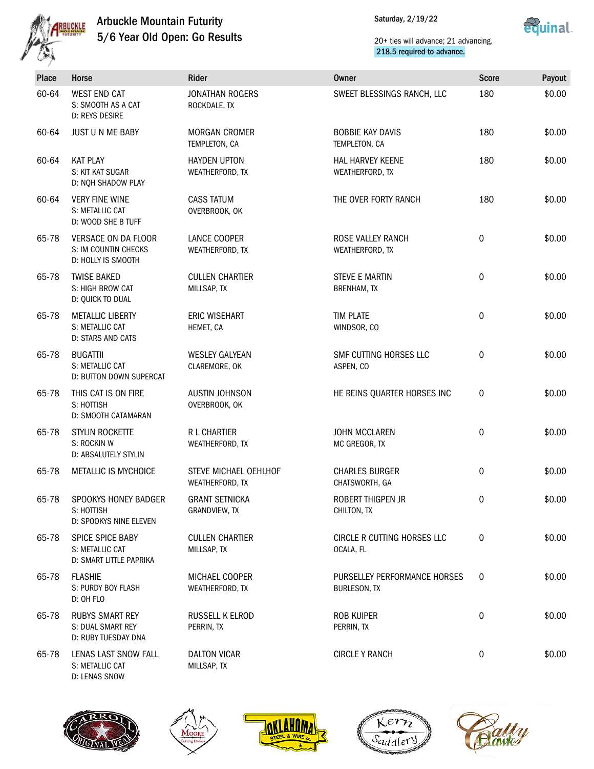

Saturday, 2/19/22



| <b>Place</b> | Horse                                                              | Rider                                    | <b>Owner</b>                                        | <b>Score</b> | Payout |
|--------------|--------------------------------------------------------------------|------------------------------------------|-----------------------------------------------------|--------------|--------|
| 60-64        | <b>WEST END CAT</b><br>S: SMOOTH AS A CAT<br>D: REYS DESIRE        | <b>JONATHAN ROGERS</b><br>ROCKDALE, TX   | SWEET BLESSINGS RANCH, LLC                          | 180          | \$0.00 |
| 60-64        | JUST U N ME BABY                                                   | <b>MORGAN CROMER</b><br>TEMPLETON, CA    | <b>BOBBIE KAY DAVIS</b><br>TEMPLETON, CA            | 180          | \$0.00 |
| 60-64        | <b>KAT PLAY</b><br>S: KIT KAT SUGAR<br>D: NOH SHADOW PLAY          | <b>HAYDEN UPTON</b><br>WEATHERFORD, TX   | <b>HAL HARVEY KEENE</b><br>WEATHERFORD, TX          | 180          | \$0.00 |
| 60-64        | <b>VERY FINE WINE</b><br>S: METALLIC CAT<br>D: WOOD SHE B TUFF     | <b>CASS TATUM</b><br>OVERBROOK, OK       | THE OVER FORTY RANCH                                | 180          | \$0.00 |
| 65-78        | VERSACE ON DA FLOOR<br>S: IM COUNTIN CHECKS<br>D: HOLLY IS SMOOTH  | LANCE COOPER<br>WEATHERFORD, TX          | ROSE VALLEY RANCH<br>WEATHERFORD, TX                | $\mathbf 0$  | \$0.00 |
| 65-78        | <b>TWISE BAKED</b><br>S: HIGH BROW CAT<br>D: QUICK TO DUAL         | <b>CULLEN CHARTIER</b><br>MILLSAP, TX    | <b>STEVE E MARTIN</b><br><b>BRENHAM, TX</b>         | $\mathbf 0$  | \$0.00 |
| 65-78        | <b>METALLIC LIBERTY</b><br>S: METALLIC CAT<br>D: STARS AND CATS    | <b>ERIC WISEHART</b><br>HEMET, CA        | <b>TIM PLATE</b><br>WINDSOR, CO                     | 0            | \$0.00 |
| 65-78        | <b>BUGATTII</b><br>S: METALLIC CAT<br>D: BUTTON DOWN SUPERCAT      | <b>WESLEY GALYEAN</b><br>CLAREMORE, OK   | SMF CUTTING HORSES LLC<br>ASPEN, CO                 | 0            | \$0.00 |
| 65-78        | THIS CAT IS ON FIRE<br>S: HOTTISH<br>D: SMOOTH CATAMARAN           | <b>AUSTIN JOHNSON</b><br>OVERBROOK, OK   | HE REINS QUARTER HORSES INC                         | 0            | \$0.00 |
| 65-78        | STYLIN ROCKETTE<br>S: ROCKIN W<br>D: ABSALUTELY STYLIN             | R L CHARTIER<br>WEATHERFORD, TX          | <b>JOHN MCCLAREN</b><br>MC GREGOR, TX               | 0            | \$0.00 |
| 65-78        | METALLIC IS MYCHOICE                                               | STEVE MICHAEL OEHLHOF<br>WEATHERFORD, TX | <b>CHARLES BURGER</b><br>CHATSWORTH, GA             | $\mathbf 0$  | \$0.00 |
| 65-78        | SPOOKYS HONEY BADGER<br>S: HOTTISH<br>D: SPOOKYS NINE ELEVEN       | <b>GRANT SETNICKA</b><br>GRANDVIEW, TX   | ROBERT THIGPEN JR<br>CHILTON, TX                    | 0            | \$0.00 |
| 65-78        | SPICE SPICE BABY<br>S: METALLIC CAT<br>D: SMART LITTLE PAPRIKA     | <b>CULLEN CHARTIER</b><br>MILLSAP, TX    | CIRCLE R CUTTING HORSES LLC<br>OCALA, FL            | $\mathbf 0$  | \$0.00 |
| 65-78        | <b>FLASHIE</b><br>S: PURDY BOY FLASH<br>D: OH FLO                  | MICHAEL COOPER<br>WEATHERFORD, TX        | PURSELLEY PERFORMANCE HORSES<br><b>BURLESON, TX</b> | $\mathbf 0$  | \$0.00 |
| 65-78        | <b>RUBYS SMART REY</b><br>S: DUAL SMART REY<br>D: RUBY TUESDAY DNA | RUSSELL K ELROD<br>PERRIN, TX            | ROB KUIPER<br>PERRIN, TX                            | 0            | \$0.00 |
| 65-78        | LENAS LAST SNOW FALL<br>S: METALLIC CAT<br>D: LENAS SNOW           | <b>DALTON VICAR</b><br>MILLSAP, TX       | <b>CIRCLE Y RANCH</b>                               | 0            | \$0.00 |